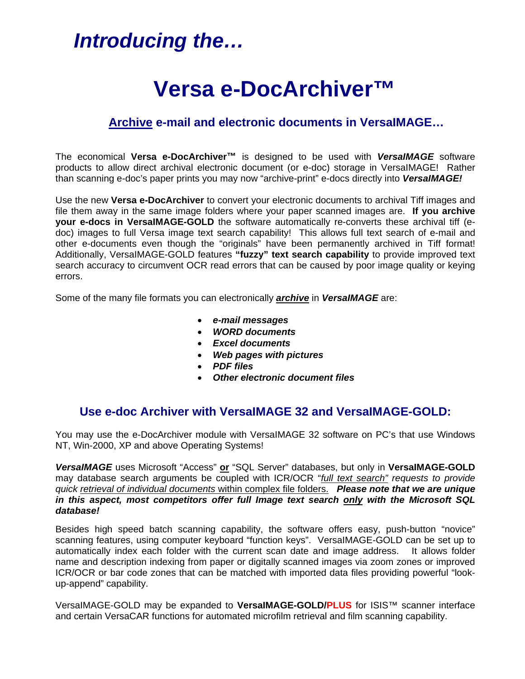## *Introducing the…*

# **Versa e-DocArchiver™**

## **Archive e-mail and electronic documents in VersaIMAGE…**

The economical **Versa e-DocArchiver™** is designed to be used with *VersaIMAGE* software products to allow direct archival electronic document (or e-doc) storage in VersaIMAGE! Rather than scanning e-doc's paper prints you may now "archive-print" e-docs directly into *VersaIMAGE!* 

Use the new **Versa e-DocArchiver** to convert your electronic documents to archival Tiff images and file them away in the same image folders where your paper scanned images are. **If you archive your e-docs in VersaIMAGE-GOLD** the software automatically re-converts these archival tiff (edoc) images to full Versa image text search capability! This allows full text search of e-mail and other e-documents even though the "originals" have been permanently archived in Tiff format! Additionally, VersaIMAGE-GOLD features **"fuzzy" text search capability** to provide improved text search accuracy to circumvent OCR read errors that can be caused by poor image quality or keying errors.

Some of the many file formats you can electronically *archive* in *VersaIMAGE* are:

- *e-mail messages*
- *WORD documents*
- *Excel documents*
- *Web pages with pictures*
- *PDF files*
- *Other electronic document files*

## **Use e-doc Archiver with VersaIMAGE 32 and VersaIMAGE-GOLD:**

You may use the e-DocArchiver module with VersaIMAGE 32 software on PC's that use Windows NT, Win-2000, XP and above Operating Systems!

*VersaIMAGE* uses Microsoft "Access" **or** "SQL Server" databases, but only in **VersaIMAGE-GOLD** may database search arguments be coupled with ICR/OCR "*full text search" requests to provide quick retrieval of individual documents* within complex file folders. *Please note that we are unique in this aspect, most competitors offer full Image text search only with the Microsoft SQL database!* 

Besides high speed batch scanning capability, the software offers easy, push-button "novice" scanning features, using computer keyboard "function keys". VersaIMAGE-GOLD can be set up to automatically index each folder with the current scan date and image address. It allows folder name and description indexing from paper or digitally scanned images via zoom zones or improved ICR/OCR or bar code zones that can be matched with imported data files providing powerful "lookup-append" capability.

VersaIMAGE-GOLD may be expanded to **VersaIMAGE-GOLD/PLUS** for ISIS™ scanner interface and certain VersaCAR functions for automated microfilm retrieval and film scanning capability.